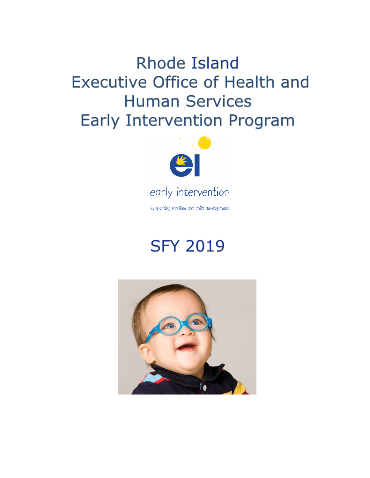**Rhode Island Executive Office of Health and Human Services Early Intervention Program** 



supporting families and child development

# **SFY 2019**

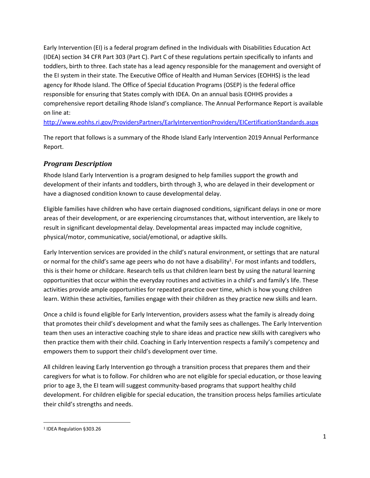Early Intervention (EI) is a federal program defined in the Individuals with Disabilities Education Act (IDEA) section 34 CFR Part 303 (Part C). Part C of these regulations pertain specifically to infants and toddlers, birth to three. Each state has a lead agency responsible for the management and oversight of the EI system in their state. The Executive Office of Health and Human Services (EOHHS) is the lead agency for Rhode Island. The Office of Special Education Programs (OSEP) is the federal office responsible for ensuring that States comply with IDEA. On an annual basis EOHHS provides a comprehensive report detailing Rhode Island's compliance. The Annual Performance Report is available on line at:

<http://www.eohhs.ri.gov/ProvidersPartners/EarlyInterventionProviders/EICertificationStandards.aspx>

The report that follows is a summary of the Rhode Island Early Intervention 2019 Annual Performance Report.

## *Program Description*

Rhode Island Early Intervention is a program designed to help families support the growth and development of their infants and toddlers, birth through 3, who are delayed in their development or have a diagnosed condition known to cause developmental delay.

Eligible families have children who have certain diagnosed conditions, significant delays in one or more areas of their development, or are experiencing circumstances that, without intervention, are likely to result in significant developmental delay. Developmental areas impacted may include cognitive, physical/motor, communicative, social/emotional, or adaptive skills.

Early Intervention services are provided in the child's natural environment, or settings that are natural or normal for the child's same age peers who do not have a disability<sup>1</sup>. For most infants and toddlers, this is their home or childcare. Research tells us that children learn best by using the natural learning opportunities that occur within the everyday routines and activities in a child's and family's life. These activities provide ample opportunities for repeated practice over time, which is how young children learn. Within these activities, families engage with their children as they practice new skills and learn.

Once a child is found eligible for Early Intervention, providers assess what the family is already doing that promotes their child's development and what the family sees as challenges. The Early Intervention team then uses an interactive coaching style to share ideas and practice new skills with caregivers who then practice them with their child. Coaching in Early Intervention respects a family's competency and empowers them to support their child's development over time.

All children leaving Early Intervention go through a transition process that prepares them and their caregivers for what is to follow. For children who are not eligible for special education, or those leaving prior to age 3, the EI team will suggest community-based programs that support healthy child development. For children eligible for special education, the transition process helps families articulate their child's strengths and needs.

<sup>1</sup> IDEA Regulation §303.26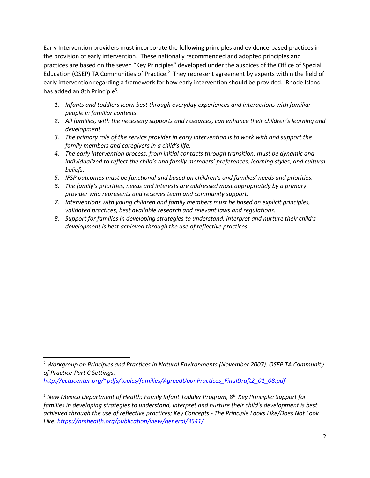Early Intervention providers must incorporate the following principles and evidence-based practices in the provision of early intervention. These nationally recommended and adopted principles and practices are based on the seven "Key Principles" developed under the auspices of the Office of Special Education (OSEP) TA Communities of Practice.<sup>2</sup> They represent agreement by experts within the field of early intervention regarding a framework for how early intervention should be provided. Rhode Island has added an 8th Principle<sup>3</sup>.

- *1. Infants and toddlers learn best through everyday experiences and interactions with familiar people in familiar contexts.*
- *2. All families, with the necessary supports and resources, can enhance their children's learning and development.*
- *3. The primary role of the service provider in early intervention is to work with and support the family members and caregivers in a child's life.*
- *4. The early intervention process, from initial contacts through transition, must be dynamic and individualized to reflect the child's and family members' preferences, learning styles, and cultural beliefs.*
- *5. IFSP outcomes must be functional and based on children's and families' needs and priorities.*
- *6. The family's priorities, needs and interests are addressed most appropriately by a primary provider who represents and receives team and community support.*
- *7. Interventions with young children and family members must be based on explicit principles, validated practices, best available research and relevant laws and regulations.*
- *8. Support for families in developing strategies to understand, interpret and nurture their child's development is best achieved through the use of reflective practices.*

*[http://ectacenter.org/~pdfs/topics/families/AgreedUponPractices\\_FinalDraft2\\_01\\_08.pdf](http://ectacenter.org/~pdfs/topics/families/AgreedUponPractices_FinalDraft2_01_08.pdf)*

<sup>2</sup> *Workgroup on Principles and Practices in Natural Environments (November 2007). OSEP TA Community of Practice-Part C Settings.*

<sup>3</sup> *New Mexico Department of Health; Family Infant Toddler Program, 8th Key Principle: Support for families in developing strategies to understand, interpret and nurture their child's development is best achieved through the use of reflective practices; Key Concepts - The Principle Looks Like/Does Not Look Like. <https://nmhealth.org/publication/view/general/3541/>*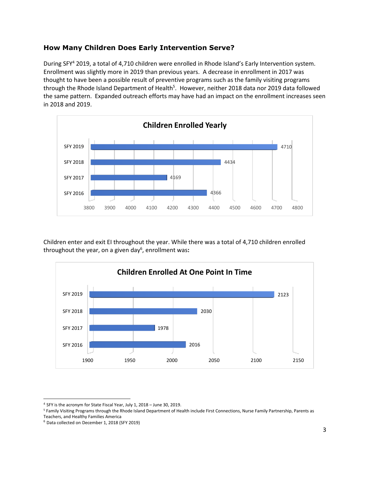#### **How Many Children Does Early Intervention Serve?**

During SFY<sup>4</sup> 2019, a total of 4,710 children were enrolled in Rhode Island's Early Intervention system. Enrollment was slightly more in 2019 than previous years. A decrease in enrollment in 2017 was thought to have been a possible result of preventive programs such as the family visiting programs through the Rhode Island Department of Health<sup>5</sup>. However, neither 2018 data nor 2019 data followed the same pattern. Expanded outreach efforts may have had an impact on the enrollment increases seen in 2018 and 2019.

![](_page_3_Figure_2.jpeg)

Children enter and exit EI throughout the year. While there was a total of 4,710 children enrolled throughout the year, on a given day<sup>6</sup> , enrollment was**:**

![](_page_3_Figure_4.jpeg)

<sup>&</sup>lt;sup>4</sup> SFY is the acronym for State Fiscal Year, July 1, 2018 - June 30, 2019.

<sup>&</sup>lt;sup>5</sup> Family Visiting Programs through the Rhode Island Department of Health include First Connections, Nurse Family Partnership, Parents as Teachers, and Healthy Families America

<sup>6</sup> Data collected on December 1, 2018 (SFY 2019)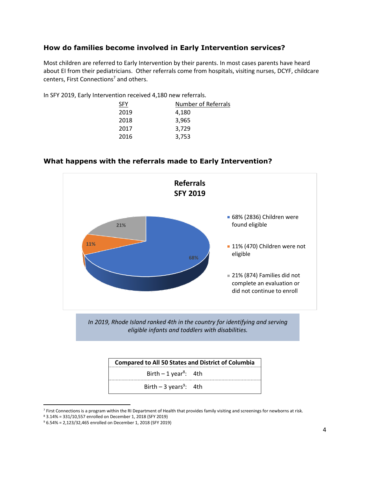#### **How do families become involved in Early Intervention services?**

Most children are referred to Early Intervention by their parents. In most cases parents have heard about EI from their pediatricians. Other referrals come from hospitals, visiting nurses, DCYF, childcare centers, First Connections<sup>7</sup> and others.

In SFY 2019, Early Intervention received 4,180 new referrals.

| <b>SFY</b> | <b>Number of Referrals</b> |
|------------|----------------------------|
| 2019       | 4,180                      |
| 2018       | 3,965                      |
| 2017       | 3.729                      |
| 2016       | 3,753                      |
|            |                            |

![](_page_4_Figure_4.jpeg)

#### **What happens with the referrals made to Early Intervention?**

Birth – 3 years<sup>9</sup>:

4th

<sup>&</sup>lt;sup>7</sup> First Connections is a program within the RI Department of Health that provides family visiting and screenings for newborns at risk.

<sup>8</sup> 3.14% = 331/10,557 enrolled on December 1, 2018 (SFY 2019)

<sup>9</sup> 6.54% = 2,123/32,465 enrolled on December 1, 2018 (SFY 2019)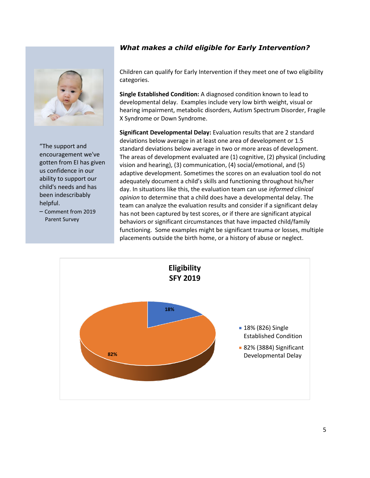#### *What makes a child eligible for Early Intervention?*

![](_page_5_Picture_1.jpeg)

"The support and encouragement we've gotten from EI has given us confidence in our ability to support our child's needs and has been indescribably helpful.

– Comment from 2019 Parent Survey

Children can qualify for Early Intervention if they meet one of two eligibility categories.

**Single Established Condition:** A diagnosed condition known to lead to developmental delay. Examples include very low birth weight, visual or hearing impairment, metabolic disorders, Autism Spectrum Disorder, Fragile X Syndrome or Down Syndrome.

**Significant Developmental Delay:** Evaluation results that are 2 standard deviations below average in at least one area of development or 1.5 standard deviations below average in two or more areas of development. The areas of development evaluated are (1) cognitive, (2) physical (including vision and hearing), (3) communication, (4) social/emotional, and (5) adaptive development. Sometimes the scores on an evaluation tool do not adequately document a child's skills and functioning throughout his/her day. In situations like this, the evaluation team can use *informed clinical opinion* to determine that a child does have a developmental delay. The team can analyze the evaluation results and consider if a significant delay has not been captured by test scores, or if there are significant atypical behaviors or significant circumstances that have impacted child/family functioning. Some examples might be significant trauma or losses, multiple placements outside the birth home, or a history of abuse or neglect.

![](_page_5_Figure_7.jpeg)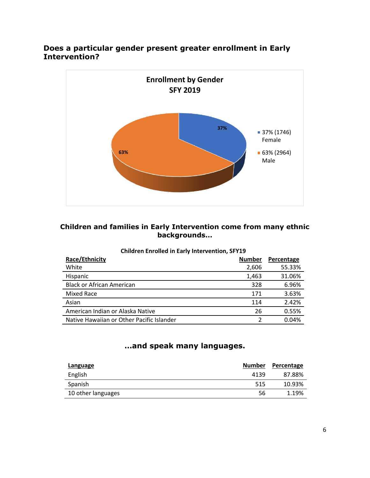## **Does a particular gender present greater enrollment in Early Intervention?**

![](_page_6_Figure_1.jpeg)

## **Children and families in Early Intervention come from many ethnic backgrounds…**

| <b>Children Enrolled in Early Intervention, SFY19</b> |
|-------------------------------------------------------|
|-------------------------------------------------------|

| Race/Ethnicity                            | <b>Number</b> | Percentage |
|-------------------------------------------|---------------|------------|
| White                                     | 2,606         | 55.33%     |
| Hispanic                                  | 1,463         | 31.06%     |
| <b>Black or African American</b>          | 328           | 6.96%      |
| Mixed Race                                | 171           | 3.63%      |
| Asian                                     | 114           | 2.42%      |
| American Indian or Alaska Native          | 26            | 0.55%      |
| Native Hawaiian or Other Pacific Islander |               | 0.04%      |

## **…and speak many languages.**

| Language           | <b>Number</b> | Percentage |
|--------------------|---------------|------------|
| English            | 4139          | 87.88%     |
| Spanish            | 515           | 10.93%     |
| 10 other languages | 56            | 1.19%      |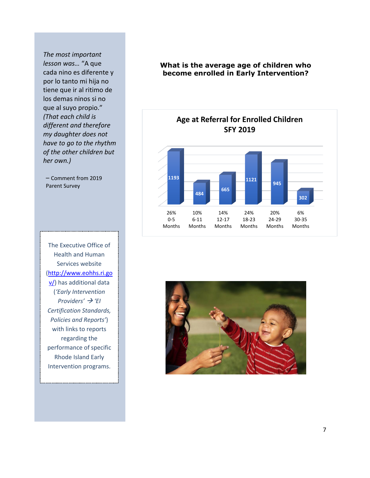*The most important lesson was…* "A que cada nino es diferente y por lo tanto mi hija no tiene que ir al ritimo de los demas ninos si no que al suyo propio." *(That each child is different and therefore my daughter does not have to go to the rhythm of the other children but her own.)*

– Comment from 2019 Parent Survey

The Executive Office of Health and Human Services website [\(http://www.eohhs.ri.go](http://www.eohhs.ri.gov/) [v/\)](http://www.eohhs.ri.gov/) has additional data (*'Early Intervention*   $Providers'$   $\rightarrow$   $'EI$ *Certification Standards, Policies and Reports'*) with links to reports regarding the performance of specific Rhode Island Early Intervention programs.

#### **What is the average age of children who become enrolled in Early Intervention?**

![](_page_7_Figure_4.jpeg)

![](_page_7_Picture_5.jpeg)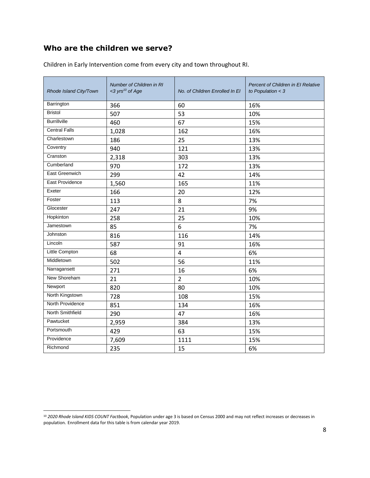## **Who are the children we serve?**

| Rhode Island City/Town | Number of Children in RI<br><3 yrs <sup>10</sup> of Age | No. of Children Enrolled In El | <b>Percent of Children in El Relative</b><br>to Population $<$ 3 |
|------------------------|---------------------------------------------------------|--------------------------------|------------------------------------------------------------------|
| Barrington             | 366                                                     | 60                             | 16%                                                              |
| <b>Bristol</b>         | 507                                                     | 53                             | 10%                                                              |
| <b>Burrillville</b>    | 460                                                     | 67                             | 15%                                                              |
| <b>Central Falls</b>   | 1,028                                                   | 162                            | 16%                                                              |
| Charlestown            | 186                                                     | 25                             | 13%                                                              |
| Coventry               | 940                                                     | 121                            | 13%                                                              |
| Cranston               | 2,318                                                   | 303                            | 13%                                                              |
| Cumberland             | 970                                                     | 172                            | 13%                                                              |
| East Greenwich         | 299                                                     | 42                             | 14%                                                              |
| East Providence        | 1,560                                                   | 165                            | 11%                                                              |
| Exeter                 | 166                                                     | 20                             | 12%                                                              |
| Foster                 | 113                                                     | 8                              | 7%                                                               |
| Glocester              | 247                                                     | 21                             | 9%                                                               |
| Hopkinton              | 258                                                     | 25                             | 10%                                                              |
| Jamestown              | 85                                                      | 6                              | 7%                                                               |
| Johnston               | 816                                                     | 116                            | 14%                                                              |
| Lincoln                | 587                                                     | 91                             | 16%                                                              |
| <b>Little Compton</b>  | 68                                                      | 4                              | 6%                                                               |
| Middletown             | 502                                                     | 56                             | 11%                                                              |
| Narragansett           | 271                                                     | 16                             | 6%                                                               |
| New Shoreham           | 21                                                      | $\overline{2}$                 | 10%                                                              |
| Newport                | 820                                                     | 80                             | 10%                                                              |
| North Kingstown        | 728                                                     | 108                            | 15%                                                              |
| North Providence       | 851                                                     | 134                            | 16%                                                              |
| North Smithfield       | 290                                                     | 47                             | 16%                                                              |
| Pawtucket              | 2,959                                                   | 384                            | 13%                                                              |
| Portsmouth             | 429                                                     | 63                             | 15%                                                              |
| Providence             | 7,609                                                   | 1111                           | 15%                                                              |
| Richmond               | 235                                                     | 15                             | 6%                                                               |

Children in Early Intervention come from every city and town throughout RI.

<sup>10</sup> *2020 Rhode Island KIDS COUNT Factbook*, Population under age 3 is based on Census 2000 and may not reflect increases or decreases in population. Enrollment data for this table is from calendar year 2019.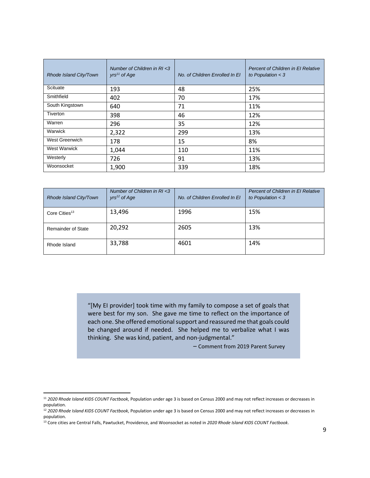| Rhode Island City/Town | Number of Children in RI <3<br>$yrs11$ of Age | No. of Children Enrolled In El | Percent of Children in El Relative<br>to Population $<$ 3 |
|------------------------|-----------------------------------------------|--------------------------------|-----------------------------------------------------------|
| Scituate               | 193                                           | 48                             | 25%                                                       |
| Smithfield             | 402                                           | 70                             | 17%                                                       |
| South Kingstown        | 640                                           | 71                             | 11%                                                       |
| Tiverton               | 398                                           | 46                             | 12%                                                       |
| Warren                 | 296                                           | 35                             | 12%                                                       |
| Warwick                | 2,322                                         | 299                            | 13%                                                       |
| West Greenwich         | 178                                           | 15                             | 8%                                                        |
| <b>West Warwick</b>    | 1,044                                         | 110                            | 11%                                                       |
| Westerly               | 726                                           | 91                             | 13%                                                       |
| Woonsocket             | 1,900                                         | 339                            | 18%                                                       |

| Rhode Island City/Town    | Number of Children in RI <3<br>$yrs^{12}$ of Age | No. of Children Enrolled In El | Percent of Children in El Relative<br>to Population $<$ 3 |
|---------------------------|--------------------------------------------------|--------------------------------|-----------------------------------------------------------|
| Core Cities <sup>13</sup> | 13,496                                           | 1996                           | 15%                                                       |
| <b>Remainder of State</b> | 20,292                                           | 2605                           | 13%                                                       |
| Rhode Island              | 33,788                                           | 4601                           | 14%                                                       |

"[My EI provider] took time with my family to compose a set of goals that were best for my son. She gave me time to reflect on the importance of each one. She offered emotional support and reassured me that goals could be changed around if needed. She helped me to verbalize what I was thinking. She was kind, patient, and non-judgmental."

– Comment from 2019 Parent Survey

<sup>11</sup> *2020 Rhode Island KIDS COUNT Factbook*, Population under age 3 is based on Census 2000 and may not reflect increases or decreases in population.

<sup>12</sup> *2020 Rhode Island KIDS COUNT Factbook*, Population under age 3 is based on Census 2000 and may not reflect increases or decreases in population.

<sup>13</sup> Core cities are Central Falls, Pawtucket, Providence, and Woonsocket as noted in *2020 Rhode Island KIDS COUNT Factbook*.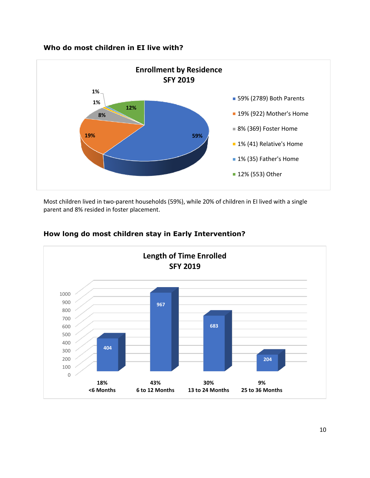#### **Who do most children in EI live with?**

![](_page_10_Figure_1.jpeg)

Most children lived in two-parent households (59%), while 20% of children in EI lived with a single parent and 8% resided in foster placement.

![](_page_10_Figure_3.jpeg)

#### **How long do most children stay in Early Intervention?**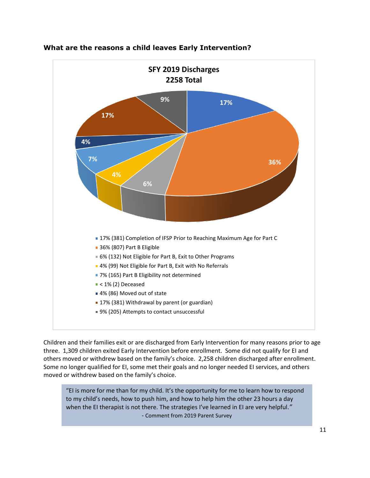![](_page_11_Figure_0.jpeg)

#### **What are the reasons a child leaves Early Intervention?**

Children and their families exit or are discharged from Early Intervention for many reasons prior to age three. 1,309 children exited Early Intervention before enrollment. Some did not qualify for EI and others moved or withdrew based on the family's choice. 2,258 children discharged after enrollment. Some no longer qualified for EI, some met their goals and no longer needed EI services, and others moved or withdrew based on the family's choice.

"EI is more for me than for my child. It's the opportunity for me to learn how to respond to my child's needs, how to push him, and how to help him the other 23 hours a day when the EI therapist is not there. The strategies I've learned in EI are very helpful.*"* - Comment from 2019 Parent Survey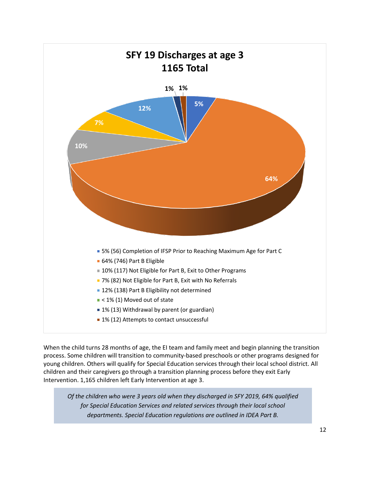![](_page_12_Figure_0.jpeg)

When the child turns 28 months of age, the EI team and family meet and begin planning the transition process. Some children will transition to community-based preschools or other programs designed for young children. Others will qualify for Special Education services through their local school district. All children and their caregivers go through a transition planning process before they exit Early Intervention. 1,165 children left Early Intervention at age 3.

*Of the children who were 3 years old when they discharged in SFY 2019, 64% qualified for Special Education Services and related services through their local school departments. Special Education regulations are outlined in IDEA Part B.*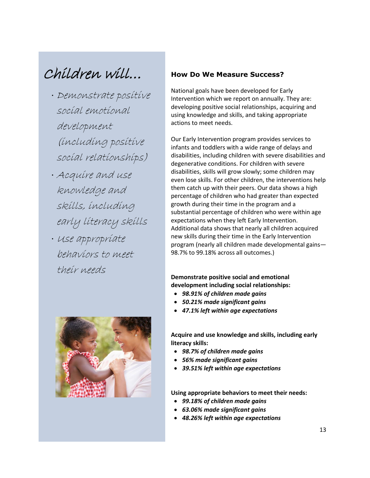## Children will…

- Demonstrate positive social emotional development (including positive social relationships)
- Acquire and use knowledge and skills, including early literacy skills
- · Use appropriate behaviors to meet their needs

![](_page_13_Picture_4.jpeg)

#### **How Do We Measure Success?**

National goals have been developed for Early Intervention which we report on annually. They are: developing positive social relationships, acquiring and using knowledge and skills, and taking appropriate actions to meet needs.

Our Early Intervention program provides services to infants and toddlers with a wide range of delays and disabilities, including children with severe disabilities and degenerative conditions. For children with severe disabilities, skills will grow slowly; some children may even lose skills. For other children, the interventions help them catch up with their peers. Our data shows a high percentage of children who had greater than expected growth during their time in the program and a substantial percentage of children who were within age expectations when they left Early Intervention. Additional data shows that nearly all children acquired new skills during their time in the Early Intervention program (nearly all children made developmental gains— 98.7% to 99.18% across all outcomes.)

**Demonstrate positive social and emotional development including social relationships:**

- *98.91% of children made gains*
- *50.21% made significant gains*
- *47.1% left within age expectations*

**Acquire and use knowledge and skills, including early literacy skills:**

- *98.7% of children made gains*
- *56% made significant gains*
- *39.51% left within age expectations*

**Using appropriate behaviors to meet their needs:**

- *99.18% of children made gains*
- *63.06% made significant gains*
- *48.26% left within age expectations*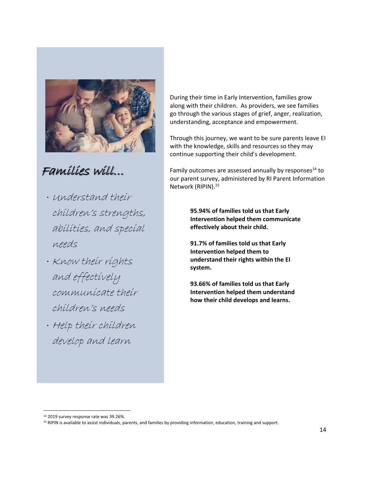![](_page_14_Picture_0.jpeg)

## Families will…

- Understand their children's strengths, abilities, and special needs
- · Know their rights and effectively communicate their children's needs
- Help their children develop and learn

During their time in Early Intervention, families grow along with their children. As providers, we see families go through the various stages of grief, anger, realization, understanding, acceptance and empowerment.

Through this journey, we want to be sure parents leave EI with the knowledge, skills and resources so they may continue supporting their child's development.

Family outcomes are assessed annually by responses $^{14}$  to our parent survey, administered by RI Parent Information Network (RIPIN).<sup>15</sup>

> **95.94% of families told us that Early Intervention helped them communicate effectively about their child.**

**91.7% of families told us that Early Intervention helped them to understand their rights within the EI system.**

**93.66% of families told us that Early Intervention helped them understand how their child develops and learns.**

<sup>14</sup> 2019 survey response rate was 39.26%.

<sup>&</sup>lt;sup>15</sup> RIPIN is available to assist individuals, parents, and families by providing information, education, training and support.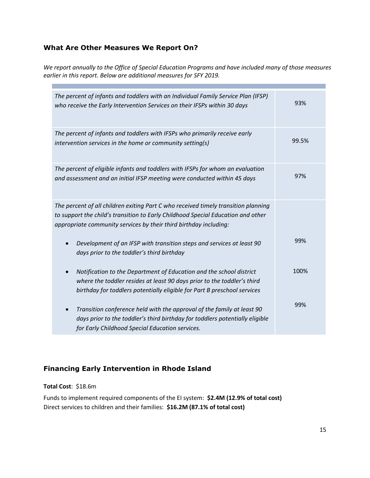#### **What Are Other Measures We Report On?**

*We report annually to the Office of Special Education Programs and have included many of those measures earlier in this report. Below are additional measures for SFY 2019.*

| The percent of infants and toddlers with an Individual Family Service Plan (IFSP)<br>who receive the Early Intervention Services on their IFSPs within 30 days                                                                              | 93%   |
|---------------------------------------------------------------------------------------------------------------------------------------------------------------------------------------------------------------------------------------------|-------|
| The percent of infants and toddlers with IFSPs who primarily receive early<br>intervention services in the home or community setting(s)                                                                                                     | 99.5% |
| The percent of eligible infants and toddlers with IFSPs for whom an evaluation<br>and assessment and an initial IFSP meeting were conducted within 45 days                                                                                  | 97%   |
| The percent of all children exiting Part C who received timely transition planning<br>to support the child's transition to Early Childhood Special Education and other<br>appropriate community services by their third birthday including: |       |
| Development of an IFSP with transition steps and services at least 90<br>$\bullet$<br>days prior to the toddler's third birthday                                                                                                            | 99%   |
| Notification to the Department of Education and the school district<br>$\bullet$<br>where the toddler resides at least 90 days prior to the toddler's third<br>birthday for toddlers potentially eligible for Part B preschool services     | 100%  |
| Transition conference held with the approval of the family at least 90<br>$\bullet$<br>days prior to the toddler's third birthday for toddlers potentially eligible<br>for Early Childhood Special Education services.                      | 99%   |

## **Financing Early Intervention in Rhode Island**

#### **Total Cost**: \$18.6m

Funds to implement required components of the EI system: **\$2.4M (12.9% of total cost)** Direct services to children and their families: **\$16.2M (87.1% of total cost)**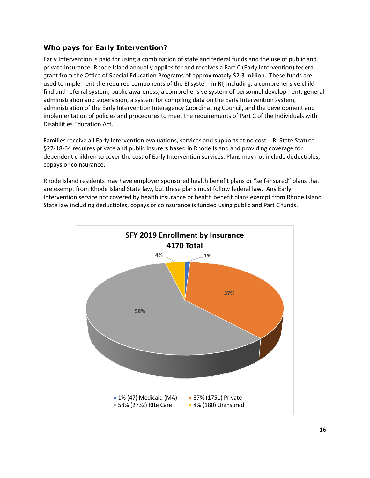#### **Who pays for Early Intervention?**

Early Intervention is paid for using a combination of state and federal funds and the use of public and private insurance**.** Rhode Island annually applies for and receives a Part C (Early Intervention) federal grant from the Office of Special Education Programs of approximately \$2.3 million. These funds are used to implement the required components of the EI system in RI, including: a comprehensive child find and referral system, public awareness, a comprehensive system of personnel development, general administration and supervision, a system for compiling data on the Early Intervention system, administration of the Early Intervention Interagency Coordinating Council, and the development and implementation of policies and procedures to meet the requirements of Part C of the Individuals with Disabilities Education Act.

Families receive all Early Intervention evaluations, services and supports at no cost.RI State Statute §27-18-64 requires private and public insurers based in Rhode Island and providing coverage for dependent children to cover the cost of Early Intervention services. Plans may not include deductibles, copays or coinsurance**.** 

Rhode Island residents may have employer sponsored health benefit plans or "self-insured" plans that are exempt from Rhode Island State law, but these plans must follow federal law. Any Early Intervention service not covered by health insurance or health benefit plans exempt from Rhode Island State law including deductibles, copays or coinsurance is funded using public and Part C funds.

![](_page_16_Figure_4.jpeg)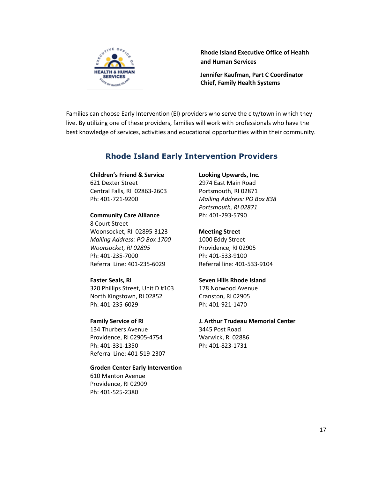![](_page_17_Picture_0.jpeg)

**Rhode Island Executive Office of Health and Human Services**

**Jennifer Kaufman, Part C Coordinator Chief, Family Health Systems**

Families can choose Early Intervention (EI) providers who serve the city/town in which they live. By utilizing one of these providers, families will work with professionals who have the best knowledge of services, activities and educational opportunities within their community.

## **Rhode Island Early Intervention Providers**

## **Children's Friend & Service**

621 Dexter Street Central Falls, RI 02863-2603 Ph: 401-721-9200

#### **Community Care Alliance**

8 Court Street Woonsocket, RI 02895-3123 *Mailing Address: PO Box 1700 Woonsocket, RI 02895* Ph: 401-235-7000 Referral Line: 401-235-6029

#### **Easter Seals, RI**

320 Phillips Street, Unit D #103 North Kingstown, RI 02852 Ph: 401-235-6029

#### **Family Service of RI**

134 Thurbers Avenue Providence, RI 02905-4754 Ph: 401-331-1350 Referral Line: 401-519-2307

## **Groden Center Early Intervention**

610 Manton Avenue Providence, RI 02909 Ph: 401-525-2380

#### **Looking Upwards, Inc.**

2974 East Main Road Portsmouth, RI 02871 *Mailing Address: PO Box 838 Portsmouth, RI 02871* Ph: 401-293-5790

#### **Meeting Street**

1000 Eddy Street Providence, RI 02905 Ph: 401-533-9100 Referral line: 401-533-9104

#### **Seven Hills Rhode Island**

178 Norwood Avenue Cranston, RI 02905 Ph: 401-921-1470

## **J. Arthur Trudeau Memorial Center**

3445 Post Road Warwick, RI 02886 Ph: 401-823-1731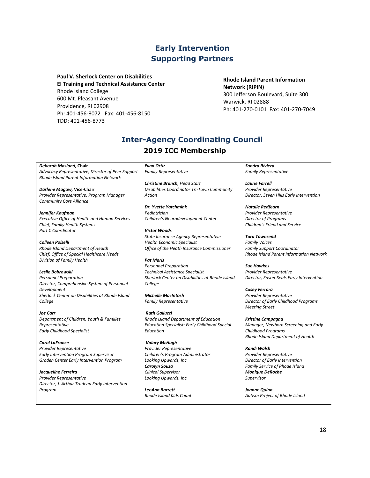## **Early Intervention Supporting Partners**

**Paul V. Sherlock Center on Disabilities EI Training and Technical Assistance Center**  Rhode Island College 600 Mt. Pleasant Avenue Providence, RI 02908 Ph: 401-456-8072 Fax: 401-456-8150 TDD: 401-456-8773

**Rhode Island Parent Information Network (RIPIN)** 300 Jefferson Boulevard, Suite 300 Warwick, RI 02888 Ph: 401-270-0101 Fax: 401-270-7049

## **Inter-Agency Coordinating Council 2019 ICC Membership**

*Deborah Masland,* **Chair** *Advocacy Representative, Director of Peer Support Rhode Island Parent Information Network*

*Darlene Magaw,* **Vice-Chair** *Provider Representative, Program Manager Community Care Alliance*

*Jennifer Kaufman Executive Office of Health and Human Services Chief, Family Health Systems Part C Coordinator*

*Colleen Polselli Rhode Island Department of Health Chief, Office of Special Healthcare Needs Division of Family Health*

*Leslie Bobrowski Personnel Preparation Director, Comprehensive System of Personnel Development Sherlock Center on Disabilities at Rhode Island College*

*Joe Carr Department of Children, Youth & Families Representative Early Childhood Specialist*

*Carol LaFrance Provider Representative Early Intervention Program Supervisor Groden Center Early Intervention Program* 

*Jacqueline Ferreira Provider Representative Director, J. Arthur Trudeau Early Intervention Program*

*Evan Ortiz Family Representative*

*Christine Branch, Head Start Disabilities Coordinator Tri-Town Community Action*

*Dr. Yvette Yatchmink Pediatrician Children's Neurodevelopment Center*

*Victor Woods State Insurance Agency Representative Health Economic Specialist Office of the Heath Insurance Commissioner*

*Pat Maris Personnel Preparation Technical Assistance Specialist Sherlock Center on Disabilities at Rhode Island College*

*Michelle MacIntosh Family Representative*

*Ruth Gallucci Rhode Island Department of Education Education Specialist: Early Childhood Special Education*

*Valory McHugh Provider Representative Children's Program Administrator Looking Upwards, Inc Carolyn Souza Clinical Supervisor Looking Upwards, Inc.*

*LeeAnn Barrett Rhode Island Kids Count* *Sandra Riviera Family Representative*

*Laurie Farrell Provider Representative Director, Seven Hills Early Intervention*

*Natalie Redfearn Provider Representative Director of Programs Children's Friend and Service*

*Tara Townsend Family Voices Family Support Coordinator Rhode Island Parent Information Network*

*Sue Hawkes Provider Representative Director, Easter Seals Early Intervention*

*Casey Ferrara Provider Representative Director of Early Childhood Programs Meeting Street*

*Kristine Campagna Manager, Newborn Screening and Early Childhood Programs Rhode Island Department of Health*

*Randi Walsh Provider Representative Director of Early Intervention Family Service of Rhode Island*

*Monique DeRoche Supervisor*

*Joanne Quinn Autism Project of Rhode Island*